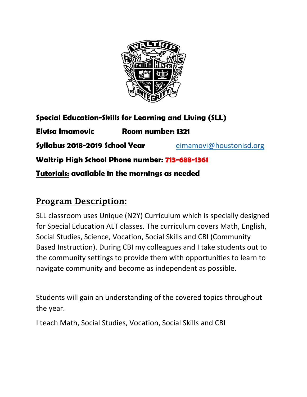

**Special Education-Skills for Learning and Living (SLL)**

**Elvisa Imamovic Room number: 1321 Syllabus 2018-2019 School Year** [eimamovi@houstonisd.org](mailto:eimamovi@houstonisd.org) **Waltrip High School Phone number: 713-688-1361 Tutorials: available in the mornings as needed**

## Program Description:

SLL classroom uses Unique (N2Y) Curriculum which is specially designed for Special Education ALT classes. The curriculum covers Math, English, Social Studies, Science, Vocation, Social Skills and CBI (Community Based Instruction). During CBI my colleagues and I take students out to the community settings to provide them with opportunities to learn to navigate community and become as independent as possible.

Students will gain an understanding of the covered topics throughout the year.

I teach Math, Social Studies, Vocation, Social Skills and CBI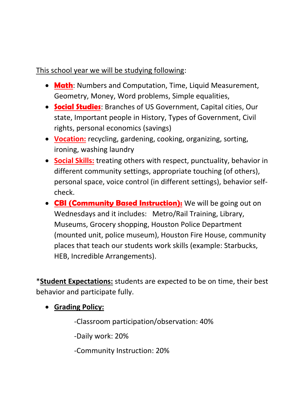## This school year we will be studying following:

- **Math**: Numbers and Computation, Time, Liquid Measurement, Geometry, Money, Word problems, Simple equalities,
- **Social Studies**: Branches of US Government, Capital cities, Our state, Important people in History, Types of Government, Civil rights, personal economics (savings)
- **Vocation:** recycling, gardening, cooking, organizing, sorting, ironing, washing laundry
- **Social Skills:** treating others with respect, punctuality, behavior in different community settings, appropriate touching (of others), personal space, voice control (in different settings), behavior selfcheck.
- **CBI (Community Based Instruction):** We will be going out on Wednesdays and it includes: Metro/Rail Training, Library, Museums, Grocery shopping, Houston Police Department (mounted unit, police museum), Houston Fire House, community places that teach our students work skills (example: Starbucks, HEB, Incredible Arrangements).

\***Student Expectations:** students are expected to be on time, their best behavior and participate fully.

• **Grading Policy:** 

-Classroom participation/observation: 40%

-Daily work: 20%

-Community Instruction: 20%